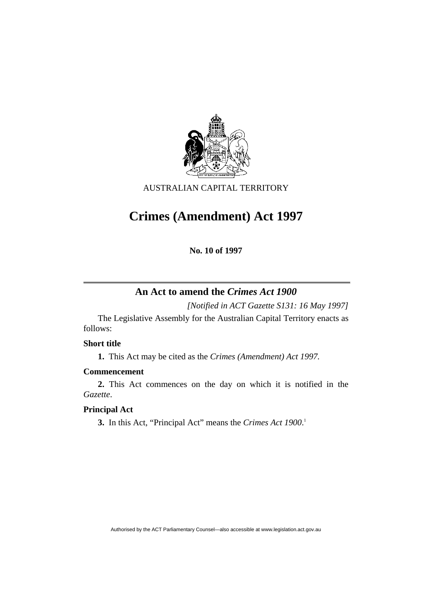

AUSTRALIAN CAPITAL TERRITORY

# **Crimes (Amendment) Act 1997**

**No. 10 of 1997** 

# **An Act to amend the** *Crimes Act 1900*

*[Notified in ACT Gazette S131: 16 May 1997]*

 The Legislative Assembly for the Australian Capital Territory enacts as follows:

# **Short title**

**1.** This Act may be cited as the *Crimes (Amendment) Act 1997.*

# **Commencement**

**2.** This Act commences on the day on which it is notified in the *Gazette*.

# **Principal Act**

**3.** In this Act, "Principal Act" means the *Crimes Act 1900*. 1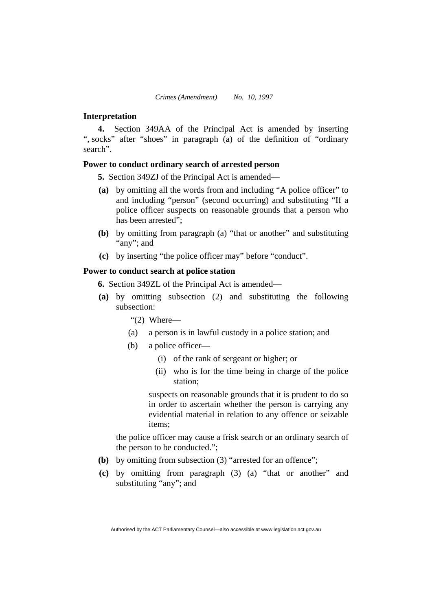### **Interpretation**

**4.** Section 349AA of the Principal Act is amended by inserting ", socks" after "shoes" in paragraph (a) of the definition of "ordinary search".

# **Power to conduct ordinary search of arrested person**

**5.** Section 349ZJ of the Principal Act is amended—

- **(a)** by omitting all the words from and including "A police officer" to and including "person" (second occurring) and substituting "If a police officer suspects on reasonable grounds that a person who has been arrested";
- **(b)** by omitting from paragraph (a) "that or another" and substituting "any"; and
- **(c)** by inserting "the police officer may" before "conduct".

#### **Power to conduct search at police station**

**6.** Section 349ZL of the Principal Act is amended—

**(a)** by omitting subsection (2) and substituting the following subsection:

"(2) Where—

- (a) a person is in lawful custody in a police station; and
- (b) a police officer—
	- (i) of the rank of sergeant or higher; or
	- (ii) who is for the time being in charge of the police station;

suspects on reasonable grounds that it is prudent to do so in order to ascertain whether the person is carrying any evidential material in relation to any offence or seizable items;

the police officer may cause a frisk search or an ordinary search of the person to be conducted.";

- **(b)** by omitting from subsection (3) "arrested for an offence";
- **(c)** by omitting from paragraph (3) (a) "that or another" and substituting "any"; and

Authorised by the ACT Parliamentary Counsel—also accessible at www.legislation.act.gov.au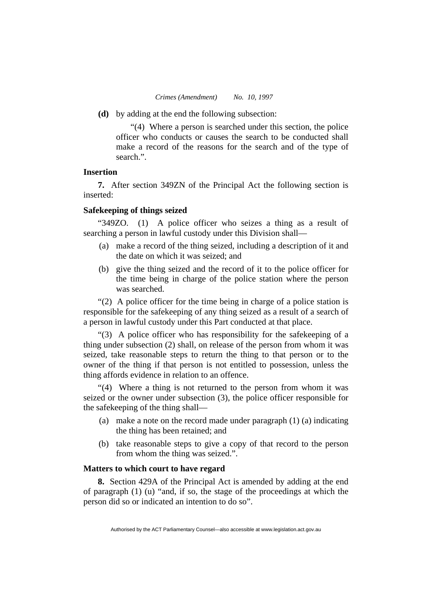**(d)** by adding at the end the following subsection:

"(4) Where a person is searched under this section, the police officer who conducts or causes the search to be conducted shall make a record of the reasons for the search and of the type of search.".

## **Insertion**

**7.** After section 349ZN of the Principal Act the following section is inserted:

#### **Safekeeping of things seized**

"349ZO.(1) A police officer who seizes a thing as a result of searching a person in lawful custody under this Division shall—

- (a) make a record of the thing seized, including a description of it and the date on which it was seized; and
- (b) give the thing seized and the record of it to the police officer for the time being in charge of the police station where the person was searched.

"(2) A police officer for the time being in charge of a police station is responsible for the safekeeping of any thing seized as a result of a search of a person in lawful custody under this Part conducted at that place.

"(3) A police officer who has responsibility for the safekeeping of a thing under subsection (2) shall, on release of the person from whom it was seized, take reasonable steps to return the thing to that person or to the owner of the thing if that person is not entitled to possession, unless the thing affords evidence in relation to an offence.

"(4) Where a thing is not returned to the person from whom it was seized or the owner under subsection (3), the police officer responsible for the safekeeping of the thing shall—

- (a) make a note on the record made under paragraph (1) (a) indicating the thing has been retained; and
- (b) take reasonable steps to give a copy of that record to the person from whom the thing was seized.".

#### **Matters to which court to have regard**

**8.** Section 429A of the Principal Act is amended by adding at the end of paragraph (1) (u) "and, if so, the stage of the proceedings at which the person did so or indicated an intention to do so".